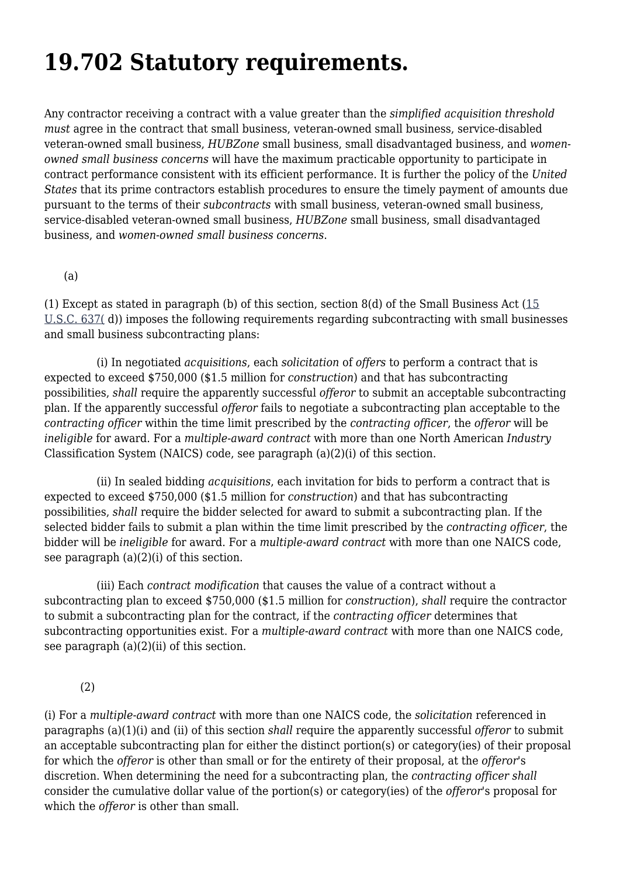## **19.702 Statutory requirements.**

Any contractor receiving a contract with a value greater than the *simplified acquisition threshold must* agree in the contract that small business, veteran-owned small business, service-disabled veteran-owned small business, *HUBZone* small business, small disadvantaged business, and *womenowned small business concerns* will have the maximum practicable opportunity to participate in contract performance consistent with its efficient performance. It is further the policy of the *United States* that its prime contractors establish procedures to ensure the timely payment of amounts due pursuant to the terms of their *subcontracts* with small business, veteran-owned small business, service-disabled veteran-owned small business, *HUBZone* small business, small disadvantaged business, and *women-owned small business concerns*.

(a)

(1) Except as stated in paragraph (b) of this section, section 8(d) of the Small Business Act [\(15](https://www.govinfo.gov/content/pkg/USCODE-2018-title15/html/USCODE-2018-title15-chap14A-sec637.htm) [U.S.C. 637\(](https://www.govinfo.gov/content/pkg/USCODE-2018-title15/html/USCODE-2018-title15-chap14A-sec637.htm) d)) imposes the following requirements regarding subcontracting with small businesses and small business subcontracting plans:

 (i) In negotiated *acquisitions*, each *solicitation* of *offers* to perform a contract that is expected to exceed \$750,000 (\$1.5 million for *construction*) and that has subcontracting possibilities, *shall* require the apparently successful *offeror* to submit an acceptable subcontracting plan. If the apparently successful *offeror* fails to negotiate a subcontracting plan acceptable to the *contracting officer* within the time limit prescribed by the *contracting officer*, the *offeror* will be *ineligible* for award. For a *multiple-award contract* with more than one North American *Industry* Classification System (NAICS) code, see paragraph (a)(2)(i) of this section.

 (ii) In sealed bidding *acquisitions*, each invitation for bids to perform a contract that is expected to exceed \$750,000 (\$1.5 million for *construction*) and that has subcontracting possibilities, *shall* require the bidder selected for award to submit a subcontracting plan. If the selected bidder fails to submit a plan within the time limit prescribed by the *contracting officer*, the bidder will be *ineligible* for award. For a *multiple-award contract* with more than one NAICS code, see paragraph (a)(2)(i) of this section.

 (iii) Each *contract modification* that causes the value of a contract without a subcontracting plan to exceed \$750,000 (\$1.5 million for *construction*), *shall* require the contractor to submit a subcontracting plan for the contract, if the *contracting officer* determines that subcontracting opportunities exist. For a *multiple-award contract* with more than one NAICS code, see paragraph  $(a)(2)(ii)$  of this section.

(2)

(i) For a *multiple-award contract* with more than one NAICS code, the *solicitation* referenced in paragraphs (a)(1)(i) and (ii) of this section *shall* require the apparently successful *offeror* to submit an acceptable subcontracting plan for either the distinct portion(s) or category(ies) of their proposal for which the *offeror* is other than small or for the entirety of their proposal, at the *offeror*'s discretion. When determining the need for a subcontracting plan, the *contracting officer shall* consider the cumulative dollar value of the portion(s) or category(ies) of the *offeror*'s proposal for which the *offeror* is other than small.